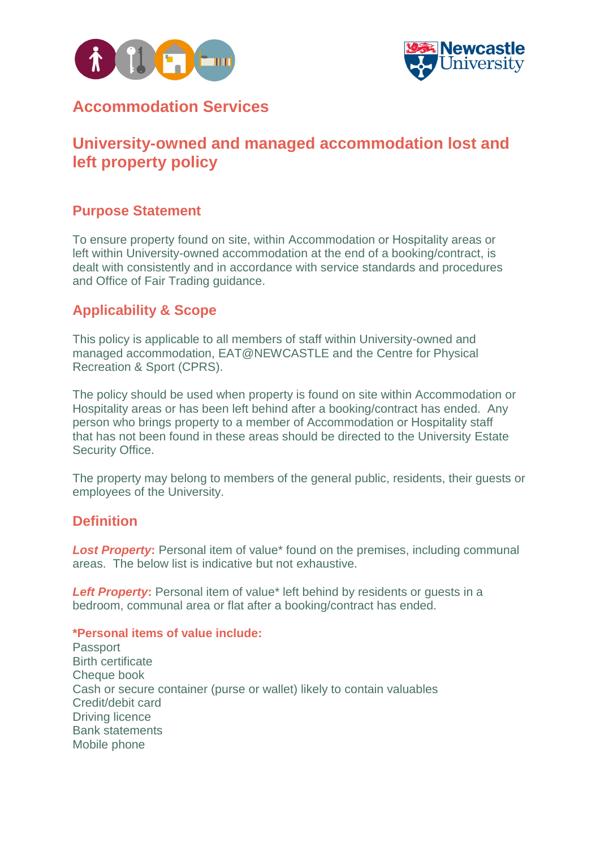



## **Accommodation Services**

# **University-owned and managed accommodation lost and left property policy**

### **Purpose Statement**

To ensure property found on site, within Accommodation or Hospitality areas or left within University-owned accommodation at the end of a booking/contract, is dealt with consistently and in accordance with service standards and procedures and Office of Fair Trading guidance.

## **Applicability & Scope**

This policy is applicable to all members of staff within University-owned and managed accommodation, EAT@NEWCASTLE and the Centre for Physical Recreation & Sport (CPRS).

The policy should be used when property is found on site within Accommodation or Hospitality areas or has been left behind after a booking/contract has ended. Any person who brings property to a member of Accommodation or Hospitality staff that has not been found in these areas should be directed to the University Estate Security Office.

The property may belong to members of the general public, residents, their guests or employees of the University.

### **Definition**

**Lost Property:** Personal item of value<sup>\*</sup> found on the premises, including communal areas. The below list is indicative but not exhaustive.

**Left Property:** Personal item of value\* left behind by residents or guests in a bedroom, communal area or flat after a booking/contract has ended.

#### **\*Personal items of value include:**

Passport Birth certificate Cheque book Cash or secure container (purse or wallet) likely to contain valuables Credit/debit card Driving licence Bank statements Mobile phone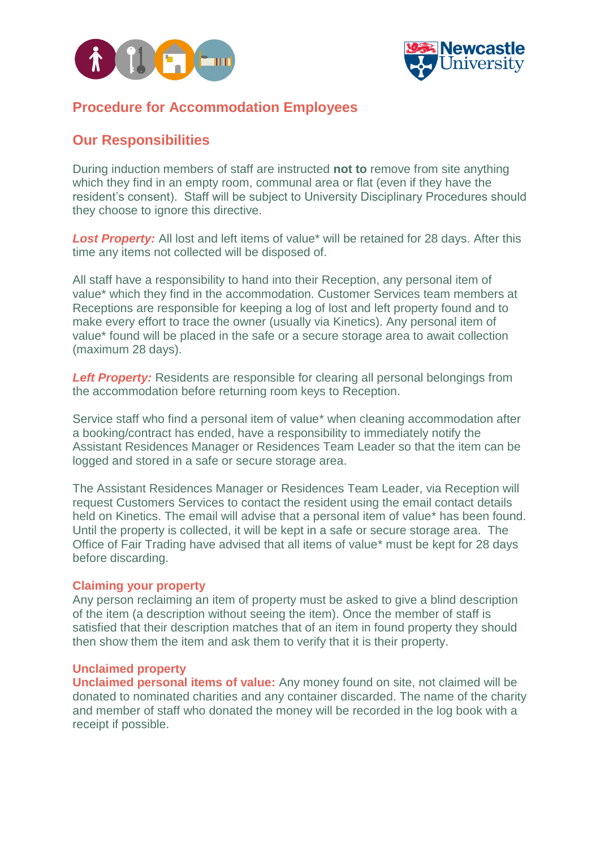



#### **Procedure for Accommodation Employees**

#### **Our Responsibilities**

During induction members of staff are instructed **not to** remove from site anything which they find in an empty room, communal area or flat (even if they have the resident's consent). Staff will be subject to University Disciplinary Procedures should they choose to ignore this directive.

**Lost Property:** All lost and left items of value<sup>\*</sup> will be retained for 28 days. After this time any items not collected will be disposed of.

All staff have a responsibility to hand into their Reception, any personal item of value\* which they find in the accommodation. Customer Services team members at Receptions are responsible for keeping a log of lost and left property found and to make every effort to trace the owner (usually via Kinetics). Any personal item of value\* found will be placed in the safe or a secure storage area to await collection (maximum 28 days).

**Left Property:** Residents are responsible for clearing all personal belongings from the accommodation before returning room keys to Reception.

Service staff who find a personal item of value\* when cleaning accommodation after a booking/contract has ended, have a responsibility to immediately notify the Assistant Residences Manager or Residences Team Leader so that the item can be logged and stored in a safe or secure storage area.

The Assistant Residences Manager or Residences Team Leader, via Reception will request Customers Services to contact the resident using the email contact details held on Kinetics. The email will advise that a personal item of value\* has been found. Until the property is collected, it will be kept in a safe or secure storage area. The Office of Fair Trading have advised that all items of value\* must be kept for 28 days before discarding.

#### **Claiming your property**

Any person reclaiming an item of property must be asked to give a blind description of the item (a description without seeing the item). Once the member of staff is satisfied that their description matches that of an item in found property they should then show them the item and ask them to verify that it is their property.

#### **Unclaimed property**

**Unclaimed personal items of value:** Any money found on site, not claimed will be donated to nominated charities and any container discarded. The name of the charity and member of staff who donated the money will be recorded in the log book with a receipt if possible.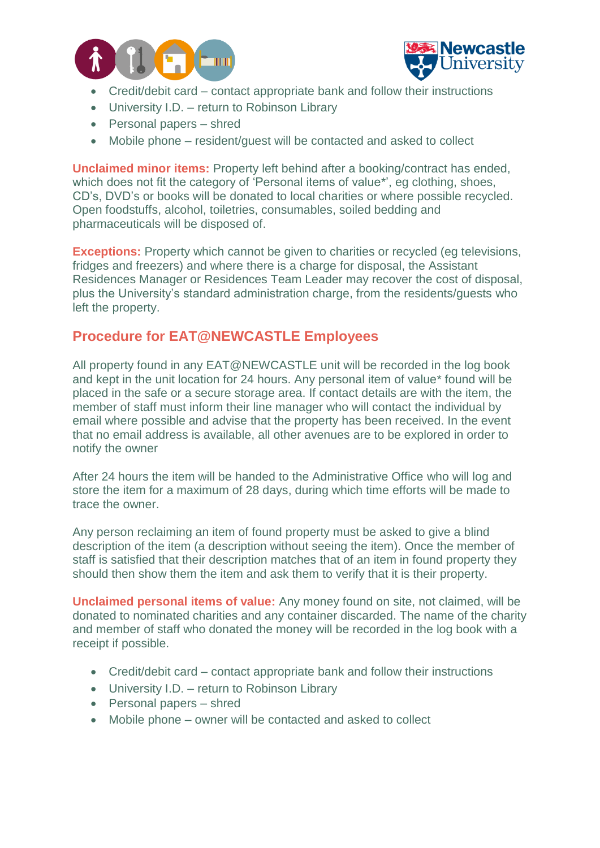



- Credit/debit card contact appropriate bank and follow their instructions
- University I.D. return to Robinson Library
- Personal papers shred
- Mobile phone resident/guest will be contacted and asked to collect

**Unclaimed minor items:** Property left behind after a booking/contract has ended, which does not fit the category of 'Personal items of value\*', eg clothing, shoes, CD's, DVD's or books will be donated to local charities or where possible recycled. Open foodstuffs, alcohol, toiletries, consumables, soiled bedding and pharmaceuticals will be disposed of.

**Exceptions:** Property which cannot be given to charities or recycled (eg televisions, fridges and freezers) and where there is a charge for disposal, the Assistant Residences Manager or Residences Team Leader may recover the cost of disposal, plus the University's standard administration charge, from the residents/guests who left the property.

### **Procedure for EAT@NEWCASTLE Employees**

All property found in any EAT@NEWCASTLE unit will be recorded in the log book and kept in the unit location for 24 hours. Any personal item of value\* found will be placed in the safe or a secure storage area. If contact details are with the item, the member of staff must inform their line manager who will contact the individual by email where possible and advise that the property has been received. In the event that no email address is available, all other avenues are to be explored in order to notify the owner

After 24 hours the item will be handed to the Administrative Office who will log and store the item for a maximum of 28 days, during which time efforts will be made to trace the owner.

Any person reclaiming an item of found property must be asked to give a blind description of the item (a description without seeing the item). Once the member of staff is satisfied that their description matches that of an item in found property they should then show them the item and ask them to verify that it is their property.

**Unclaimed personal items of value:** Any money found on site, not claimed, will be donated to nominated charities and any container discarded. The name of the charity and member of staff who donated the money will be recorded in the log book with a receipt if possible.

- Credit/debit card contact appropriate bank and follow their instructions
- University I.D. return to Robinson Library
- Personal papers shred
- Mobile phone owner will be contacted and asked to collect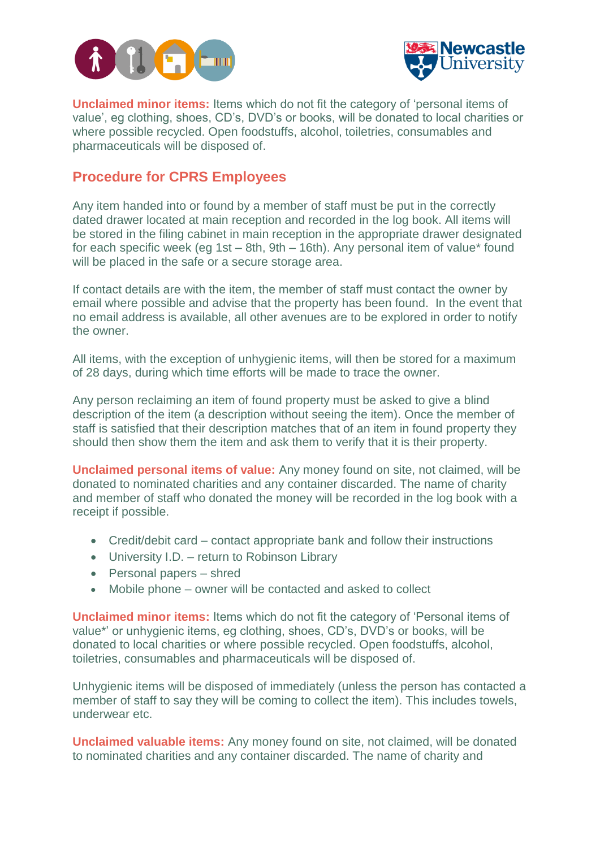



**Unclaimed minor items:** Items which do not fit the category of 'personal items of value', eg clothing, shoes, CD's, DVD's or books, will be donated to local charities or where possible recycled. Open foodstuffs, alcohol, toiletries, consumables and pharmaceuticals will be disposed of.

## **Procedure for CPRS Employees**

Any item handed into or found by a member of staff must be put in the correctly dated drawer located at main reception and recorded in the log book. All items will be stored in the filing cabinet in main reception in the appropriate drawer designated for each specific week (eg 1st – 8th, 9th – 16th). Any personal item of value\* found will be placed in the safe or a secure storage area.

If contact details are with the item, the member of staff must contact the owner by email where possible and advise that the property has been found. In the event that no email address is available, all other avenues are to be explored in order to notify the owner.

All items, with the exception of unhygienic items, will then be stored for a maximum of 28 days, during which time efforts will be made to trace the owner.

Any person reclaiming an item of found property must be asked to give a blind description of the item (a description without seeing the item). Once the member of staff is satisfied that their description matches that of an item in found property they should then show them the item and ask them to verify that it is their property.

**Unclaimed personal items of value:** Any money found on site, not claimed, will be donated to nominated charities and any container discarded. The name of charity and member of staff who donated the money will be recorded in the log book with a receipt if possible.

- Credit/debit card contact appropriate bank and follow their instructions
- University I.D. return to Robinson Library
- Personal papers shred
- Mobile phone owner will be contacted and asked to collect

**Unclaimed minor items:** Items which do not fit the category of 'Personal items of value\*' or unhygienic items, eg clothing, shoes, CD's, DVD's or books, will be donated to local charities or where possible recycled. Open foodstuffs, alcohol, toiletries, consumables and pharmaceuticals will be disposed of.

Unhygienic items will be disposed of immediately (unless the person has contacted a member of staff to say they will be coming to collect the item). This includes towels, underwear etc.

**Unclaimed valuable items:** Any money found on site, not claimed, will be donated to nominated charities and any container discarded. The name of charity and